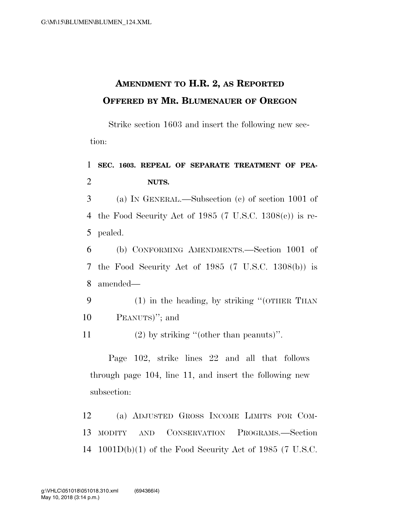## **AMENDMENT TO H.R. 2, AS REPORTED OFFERED BY MR. BLUMENAUER OF OREGON**

Strike section 1603 and insert the following new section:

1 **SEC. 1603. REPEAL OF SEPARATE TREATMENT OF PEA-**2 **NUTS.** 

3 (a) IN GENERAL.—Subsection (c) of section 1001 of 4 the Food Security Act of 1985 (7 U.S.C. 1308(c)) is re-5 pealed.

6 (b) CONFORMING AMENDMENTS.—Section 1001 of 7 the Food Security Act of 1985 (7 U.S.C. 1308(b)) is 8 amended—

9 (1) in the heading, by striking ''(OTHER THAN 10 PEANUTS)''; and

11 (2) by striking ''(other than peanuts)''.

Page 102, strike lines 22 and all that follows through page 104, line 11, and insert the following new subsection:

12 (a) ADJUSTED GROSS INCOME LIMITS FOR COM-13 MODITY AND CONSERVATION PROGRAMS.—Section 14 1001D(b)(1) of the Food Security Act of 1985 (7 U.S.C.